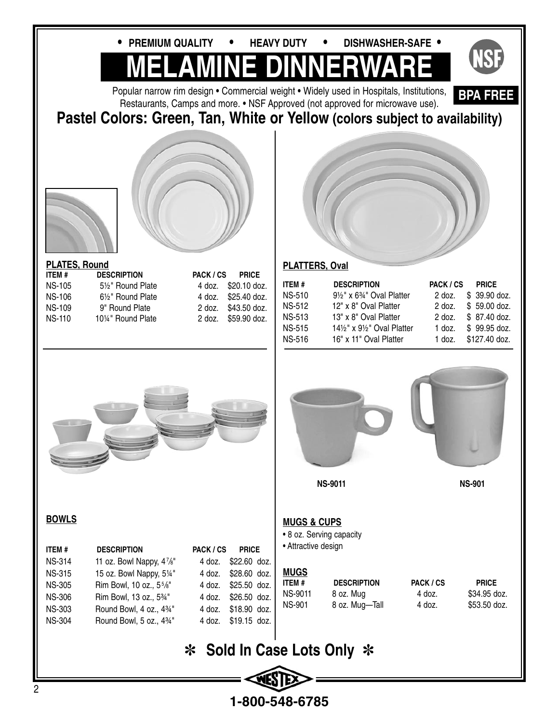

**1-800-548-6785**